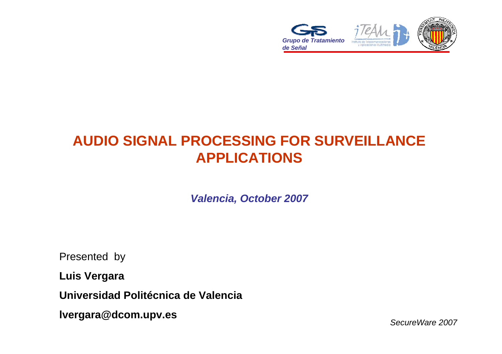

## **AUDIO SIGNAL PROCESSING FOR SURVEILLANCE APPLICATIONS**

*Valencia, October 2007*

Presented by

**Luis Vergara**

**Universidad Politécnica de Valencia**

**lvergara@dcom.upv.es**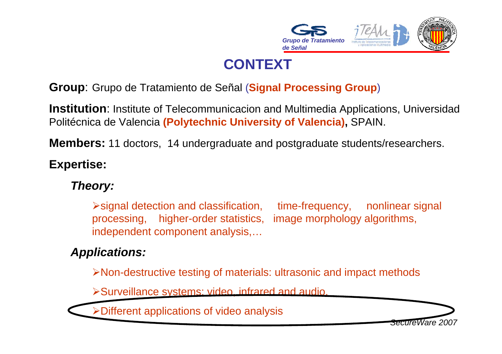

# **CONTEXT**

#### **Group**: Grupo de Tratamiento de Señal (**Signal Processing Group**)

**Institution**: Institute of Telecommunicacion and Multimedia Applications, Universidad Politécnica de Valencia **(Polytechnic University of Valencia),** SPAIN.

**Members:** 11 doctors, 14 undergraduate and postgraduate students/researchers.

#### **Expertise:**

#### *Theory:*

¾signal detection and classification, time-frequency, nonlinear signal processing, higher-order statistics, image morphology algorithms, independent component analysis,…

#### *Applications:*

¾Non-destructive testing of materials: ultrasonic and impact methods

¾Surveillance systems: video, infrared and audio.

¾Different applications of video analysis

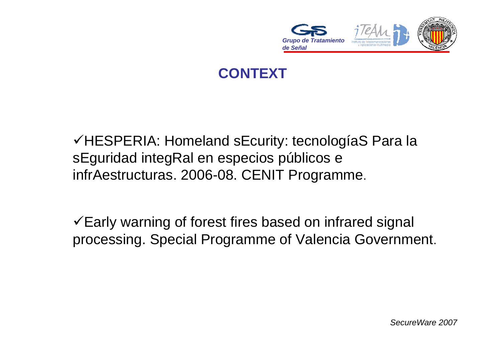

## **CONTEXT**

√HESPERIA: Homeland sEcurity: tecnologíaS Para la sEguridad integRal en especios públicos <sup>e</sup> infrAestructuras. 2006-08. CENIT Programme.

 $\checkmark$  Early warning of forest fires based on infrared signal processing. Special Programme of Valencia Government.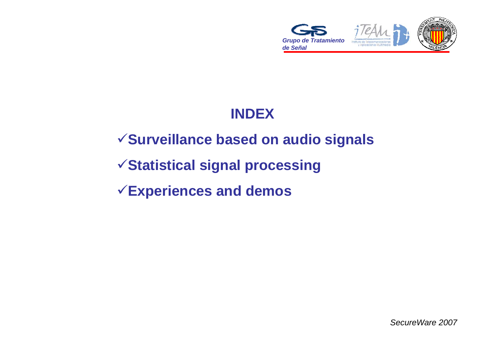

# **INDEX**

# <sup>9</sup>**Surveillance based on audio signals**

## <sup>9</sup>**Statistical signal processing**

## <sup>9</sup>**Experiences and demos**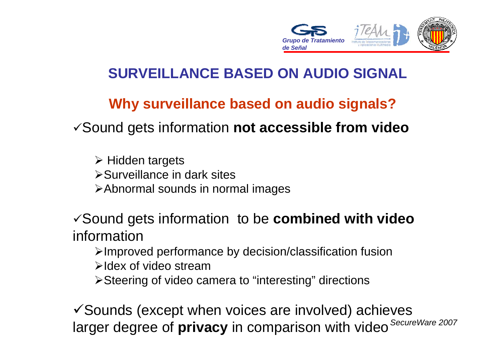

#### **Why surveillance based on audio signals?**

<sup>9</sup>Sound gets information **not accessible from video**

¾ Hidden targets ¾Surveillance in dark sites¾Abnormal sounds in normal images

<sup>9</sup>Sound gets information to be **combined with video** information

¾Improved performance by decision/classification fusion

¾Idex of video stream

¾Steering of video camera to "interesting" directions

*SecureWare 2007* larger degree of **privacy** in comparison with video  $\checkmark$  Sounds (except when voices are involved) achieves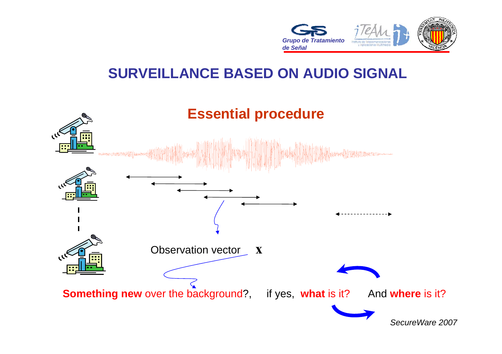

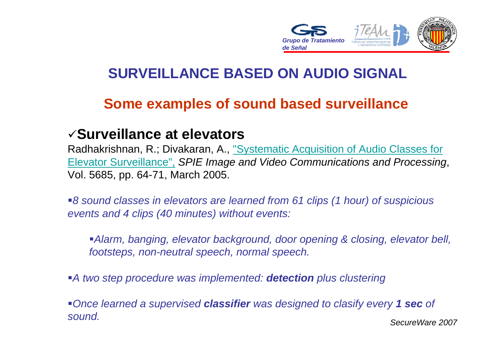

#### **Some examples of sound based surveillance**

#### 9**Surveillance at elevators**

Radhakrishnan, R.; Divakaran, A., "Systematic Acquisition of Audio Classes for Elevator Surveillance", *SPIE Image and Video Communications and Processing*, Vol. 5685, pp. 64-71, March 2005.

*8 sound classes in elevators are learned from 61 clips (1 hour) of suspicious events and 4 clips (40 minutes) without events:*

*Alarm, banging, elevator background, door opening & closing, elevator bell, footsteps, non-neutral speech, normal speech.*

*A two step procedure was implemented: detection plus clustering*

*SecureWare 2007Once learned a supervised classifier was designed to clasify every 1 sec of sound.*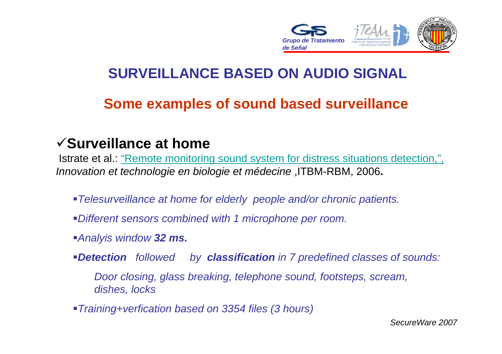

#### **Some examples of sound based surveillance**

#### 9**Surveillance at home**

Istrate et al.: "Remote monitoring sound system for distress situations detection,", *Innovation et technologie en biologie et médecine* ,ITBM-RBM, 2006**.** 

- *Telesurveillance at home for elderly people and/or chronic patients.*
- *Different sensors combined with 1 microphone per room.*
- *Analyis window 32 ms.*
- *Detection followed by classification in 7 predefined classes of sounds:*

*Door closing, glass breaking, telephone sound, footsteps, scream, dishes, locks*

*Training+verfication based on 3354 files (3 hours)*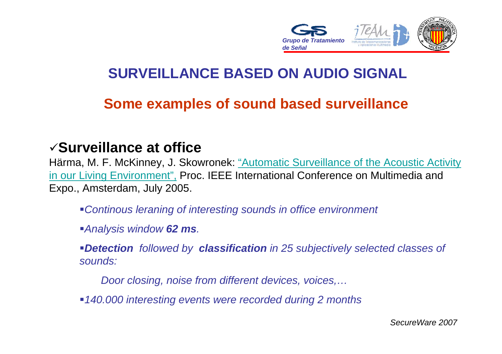

#### **Some examples of sound based surveillance**

#### 9**Surveillance at office**

Härma, M. F. McKinney, J. Skowronek: "Automatic Surveillance of the Acoustic Activity in our Living Environment", Proc. IEEE International Conference on Multimedia and Expo., Amsterdam, July 2005.

- *Continous leraning of interesting sounds in office environment*
- *Analysis window 62 ms.*
- *Detection followed by classification in 25 subjectively selected classes of sounds:*
	- *Door closing, noise from different devices, voices,…*
- *140.000 interesting events were recorded during 2 months*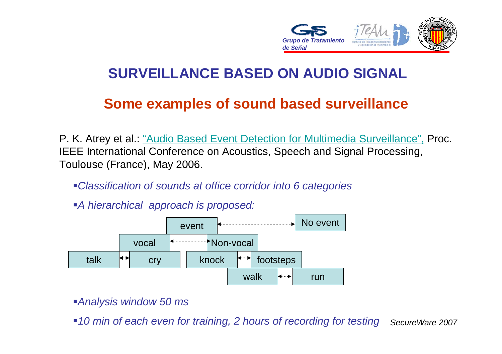

#### **Some examples of sound based surveillance**

P. K. Atrey et al.: "Audio Based Event Detection for Multimedia Surveillance", Proc. IEEE International Conference on Acoustics, Speech and Signal Processing, Toulouse (France), May 2006.

*Classification of sounds at office corridor into 6 categories*

*A hierarchical approach is proposed:*



*Analysis window 50 ms*

*SecureWare 200710 min of each even for training, 2 hours of recording for testing*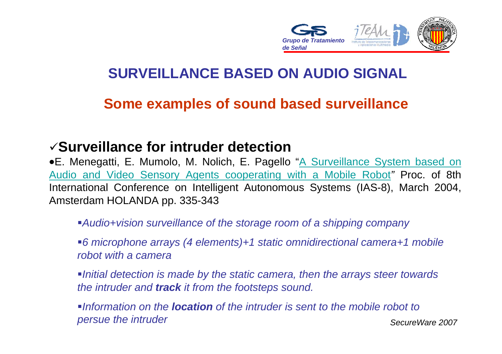

#### **Some examples of sound based surveillance**

#### 9**Surveillance for intruder detection**

• E. Menegatti, E. Mumolo, M. Nolich, E. Pagello "A Surveillance System based on Audio and Video Sensory Agents cooperating with a Mobile Robot*"* Proc. of 8th International Conference on Intelligent Autonomous Systems (IAS-8), March 2004, Amsterdam HOLANDA pp. 335-343

- *Audio+vision surveillance of the storage room of a shipping company*
- *6 microphone arrays (4 elements)+1 static omnidirectional camera+1 mobile robot with a camera*
- *Initial detection is made by the static camera, then the arrays steer towards the intruder and track it from the footsteps sound.*
- *SecureWare 2007*Information on the **location** of the intruder is sent to the mobile robot to *persue the intruder*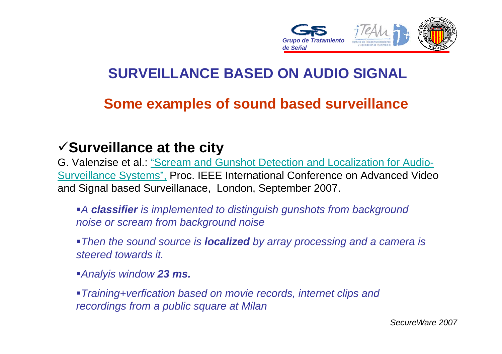

#### **Some examples of sound based surveillance**

#### <sup>9</sup>**Surveillance at the city**

G. Valenzise et al.: "Scream and Gunshot Detection and Localization for Audio-Surveillance Systems", Proc. IEEE International Conference on Advanced Video and Signal based Surveillanace, London, September 2007.

*A classifier is implemented to distinguish gunshots from background noise or scream from background noise*

*Then the sound source is localized by array processing and a camera is steered towards it.*

*Analyis window 23 ms.*

*Training+verfication based on movie records, internet clips and recordings from a public square at Milan*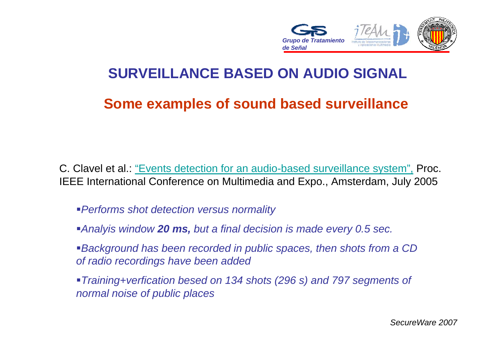

#### **Some examples of sound based surveillance**

C. Clavel et al.: "Events detection for an audio-based surveillance system", Proc. IEEE International Conference on Multimedia and Expo., Amsterdam, July 2005

- *Performs shot detection versus normality*
- *Analyis window 20 ms, but a final decision is made every 0.5 sec.*
- *Background has been recorded in public spaces, then shots from a CD of radio recordings have been added*
- *Training+verfication besed on 134 shots (296 s) and 797 segments of normal noise of public places*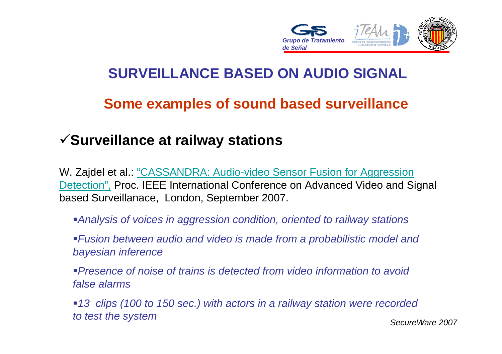

#### **Some examples of sound based surveillance**

#### <sup>9</sup>**Surveillance at railway stations**

W. Zajdel et al.: "CASSANDRA: Audio-video Sensor Fusion for Aggression Detection", Proc. IEEE International Conference on Advanced Video and Signal based Surveillanace, London, September 2007.

*Analysis of voices in aggression condition, oriented to railway stations*

*Fusion between audio and video is made from a probabilistic model and bayesian inference*

*Presence of noise of trains is detected from video information to avoidfalse alarms*

*SecureWare 200713 clips (100 to 150 sec.) with actors in a railway station were recorded to test the system*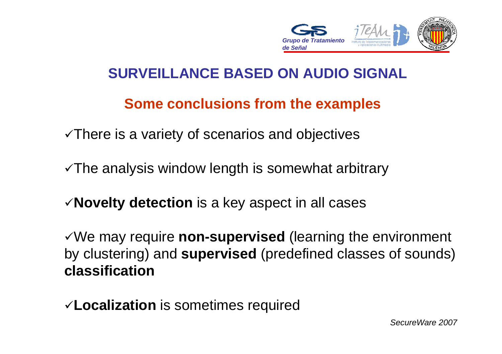

#### **Some conclusions from the examples**

 $\sqrt{T}$  There is a variety of scenarios and objectives

 $\sqrt{T}$ he analysis window length is somewhat arbitrary

<sup>9</sup>**Novelty detection** is a key aspect in all cases

<sup>9</sup>We may require **non-supervised** (learning the environment by clustering) and **supervised** (predefined classes of sounds) **classification**

<sup>9</sup>**Localization** is sometimes required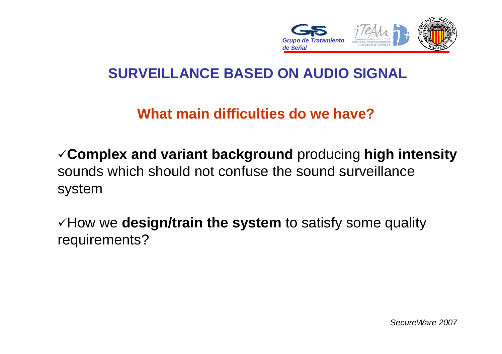

### **What main difficulties do we have?**

<sup>9</sup>**Complex and variant background** producing **high intensity** sounds which should not confuse the sound surveillance system

<sup>9</sup>How we **design/train the system** to satisfy some quality requirements?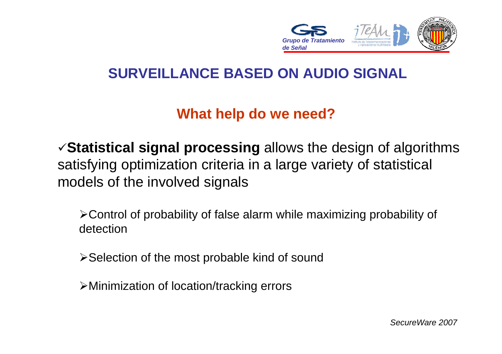

### **What help do we need?**

<sup>9</sup>**Statistical signal processing** allows the design of algorithms satisfying optimization criteria in a large variety of statistical models of the involved signals

¾Control of probability of false alarm while maximizing probability of detection

¾Selection of the most probable kind of sound

¾Minimization of location/tracking errors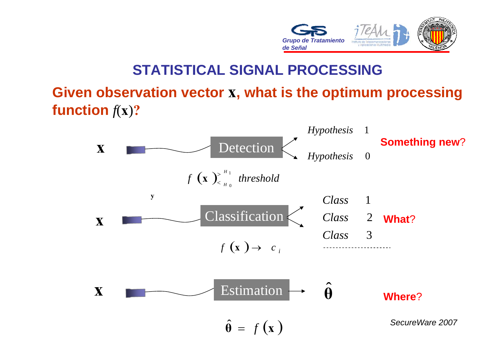

#### **STATISTICAL SIGNAL PROCESSING**

#### **Given observation vector x, what is the optimum processing function** *f*(**x**)**?**

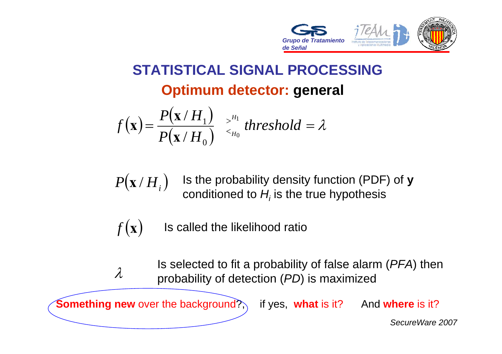

# **STATISTICAL SIGNAL PROCESSINGOptimum detector: general**

$$
f(\mathbf{x}) = \frac{P(\mathbf{x}/H_1)}{P(\mathbf{x}/H_0)} \stackrel{>^{H_1}}{<_{H_0}} threshold = \lambda
$$

 $P\big(\mathbf x\,H_i\big)$ Is the probability density function (PDF) of **y** conditioned to *Hi* is the true hypothesis

 $f(\mathbf{x})$ Is called the likelihood ratio

λIs selected to fit a probability of false alarm (*PFA*) then probability of detection (*PD*) is maximized

**Something new** over the background?, if yes, what is it? And where is it?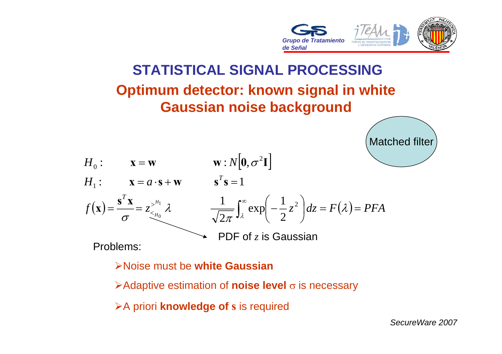

Matched filter

# **STATISTICAL SIGNAL PROCESSINGOptimum detector: known signal in white Gaussian noise background**



Problems:

¾Noise must be **white Gaussian**

**≻Adaptive estimation of noise level** σ is necessary

¾A priori **knowledge of <sup>s</sup>**is required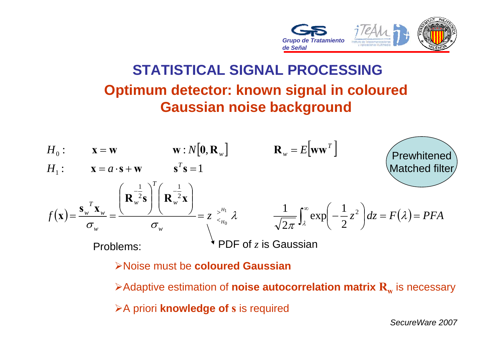

# **STATISTICAL SIGNAL PROCESSINGOptimum detector: known signal in coloured Gaussian noise background**



¾Noise must be **coloured Gaussian**

 $\blacktriangleright$ Adaptive estimation of  $\mathsf{noise}$  autocorrelation  $\mathsf{matrix}\ \mathbf{R}_\mathrm{w}$  is necessary ¾A priori **knowledge of <sup>s</sup>**is required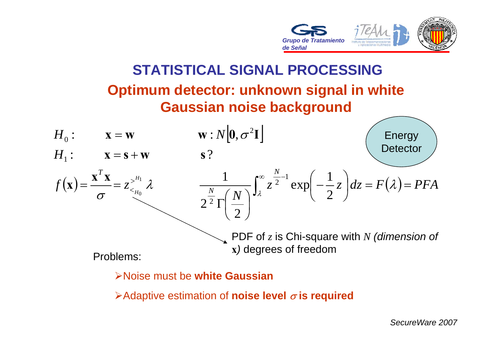

# **STATISTICAL SIGNAL PROCESSINGOptimum detector: unknown signal in white Gaussian noise background**



¾Noise must be **white Gaussian**

¾Adaptive estimation of **noise level** <sup>σ</sup> **is required**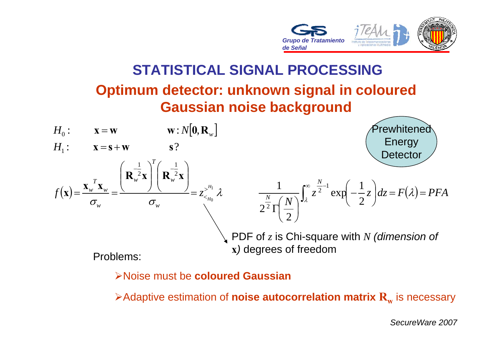

# **STATISTICAL SIGNAL PROCESSINGOptimum detector: unknown signal in coloured Gaussian noise background**



¾Noise must be **coloured Gaussian**

 $\blacktriangleright$ Adaptive estimation of  $\mathsf{noise}$  auto $\mathsf{correlation}$   $\mathsf{matrix}$   $\mathbf{R}_{\mathrm{w}}$  is necessary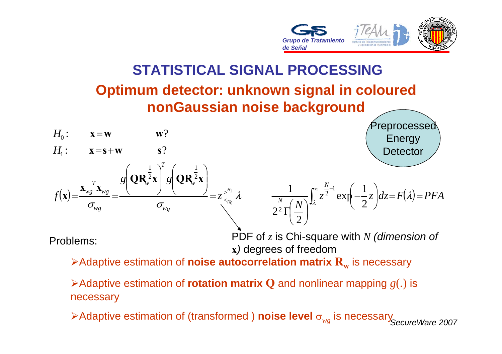

# **STATISTICAL SIGNAL PROCESSINGOptimum detector: unknown signal in coloured nonGaussian noise background**



¾Adaptive estimation of **rotation matrix Q** and nonlinear mapping *g*(.) is necessary

*SecureWare 2007* <sup>¾</sup>Adaptive estimation of (transformed ) **noise level** <sup>σ</sup>*wg* is necessary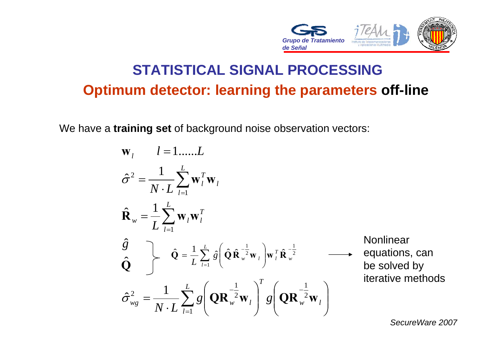

# **STATISTICAL SIGNAL PROCESSINGOptimum detector: learning the parameters off-line**

We have <sup>a</sup>**training set** of background noise observation vectors:

∑ ∑  $\frac{1}{\sqrt{I}}\sum$ =− <sup>−</sup> == $=\frac{1}{N \cdot L} \sum_{l=1}^{L} g \left(\mathbf{QR}_{w}^{-\frac{1}{2}} \mathbf{w}_{l}\right)^{l} g \left(\mathbf{QR}_{w}^{-\frac{1}{2}} \mathbf{w}_{l}\right)$ = =  $\mathbf{w}_l$   $l = 1$ ......L *lw l T*  $w_g = \frac{1}{N \cdot L} \sum_{l=1}^{N} g_l \left( \mathbf{Q} \mathbf{R}_{w}^2 \mathbf{W}_l \right) g_l$ *L lT*  $w = L \sum_{l=1}^{\infty} w_l w_l$ *L ll*  $\frac{1}{N \cdot L} \sum_{l=1}^L \mathbf{W}_l^T$ *g* 2 1 2  $\frac{1}{2}$  1  $\frac{1}{2}$   $\left( \frac{1}{2} \right)$  $\sim$  2 1  $\hat{\sigma}_{we}^2 = \frac{1}{\sigma_{w}}$  | g|  $\mathbf{QR}_w^2 \mathbf{w}_l$  | g|  $\mathbf{QR}_w^2 \mathbf{w}_l$ ˆˆ $\sim$  1  $\mathbf{R}_{w} = -\sum \mathbf{W}_{i} \mathbf{W}_{j}$  $\sigma^- =$  **w**, **w Q** 2 1 1 2  $\hat{\mathbf{a}} \left( \hat{\mathbf{\Omega}} \, \hat{\mathbf{p}}^{-\frac{1}{2}} \mathbf{w} \right)$   $\mathbf{w}^T \, \hat{\mathbf{p}}$  $\hat{\mathbf{Q}} = \frac{1}{N} \sum_{i=1}^{L} \hat{\mathbf{q}} \left( \hat{\mathbf{Q}} \hat{\mathbf{R}}^{-\frac{1}{2}} \mathbf{w}_{i} \right) \mathbf{w}_{i}^{T} \hat{\mathbf{R}}^{-1}$ = −  $\hat{\mathbf{Q}} = \frac{1}{L} \sum_{l=1}^{L} \hat{g} \left( \hat{\mathbf{Q}} \hat{\mathbf{R}}_{w}^{-\frac{1}{2}} \mathbf{w}_{l} \right) \mathbf{w}_{l}^{T} \hat{\mathbf{R}}_{w}^{-\frac{1}{2}}$   $\longrightarrow$  equations, can be solved by iterative methods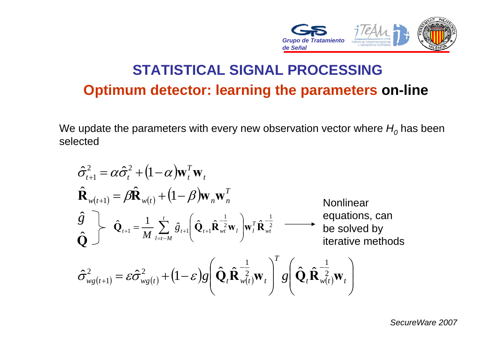

# **STATISTICAL SIGNAL PROCESSINGOptimum detector: learning the parameters on-line**

We update the parameters with every new observation vector where  $H^{\vphantom{\dagger}}_{0}$  has been selected

$$
\hat{\sigma}_{t+1}^{2} = \alpha \hat{\sigma}_{t}^{2} + (1 - \alpha) \mathbf{w}_{t}^{T} \mathbf{w}_{t}
$$
\n
$$
\hat{\mathbf{R}}_{w(t+1)} = \beta \hat{\mathbf{R}}_{w(t)} + (1 - \beta) \mathbf{w}_{n} \mathbf{w}_{n}^{T}
$$
\nNonlinear  
\n
$$
\hat{\mathbf{Q}} \quad \hat{\mathbf{Q}}_{t+1} = \frac{1}{M} \sum_{l=t-M}^{t} \hat{g}_{t+1} \left( \hat{\mathbf{Q}}_{t+1} \hat{\mathbf{R}}_{wt}^{-\frac{1}{2}} \mathbf{w}_{l} \right) \mathbf{w}_{t}^{T} \hat{\mathbf{R}}_{wt}^{-\frac{1}{2}}
$$
\n
$$
\hat{\mathbf{Q}} \quad \text{by} \quad \text{iterative methods}
$$
\n
$$
\hat{\sigma}_{wg(t+1)}^{2} = \varepsilon \hat{\sigma}_{wg(t)}^{2} + (1 - \varepsilon) g \left( \hat{\mathbf{Q}}_{t} \hat{\mathbf{R}}_{wt}^{-\frac{1}{2}} \mathbf{w}_{t} \right)^{T} g \left( \hat{\mathbf{Q}}_{t} \hat{\mathbf{R}}_{wt}^{-\frac{1}{2}} \mathbf{w}_{t} \right)
$$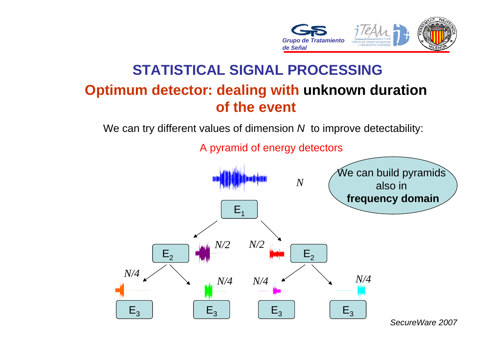

## **STATISTICAL SIGNAL PROCESSINGOptimum detector: dealing with unknown duration of the event**

We can try different values of dimension *N* to improve detectability:



A pyramid of energy detectors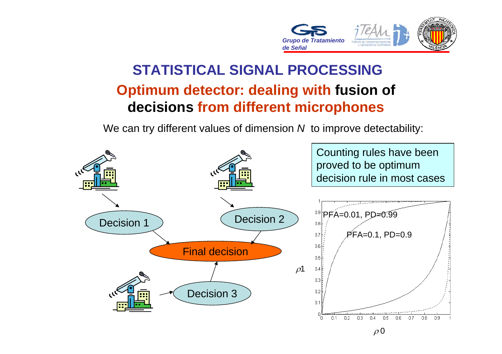

## **STATISTICAL SIGNAL PROCESSINGOptimum detector: dealing with fusion of decisions from different microphones**

We can try different values of dimension *N* to improve detectability:

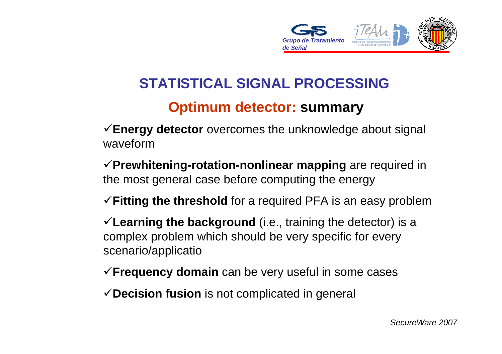

## **STATISTICAL SIGNAL PROCESSING**

#### **Optimum detector: summary**

<sup>9</sup>**Energy detector** overcomes the unknowledge about signal waveform

<sup>9</sup>**Prewhitening-rotation-nonlinear mapping** are required in the most general case before computing the energy

<sup>9</sup>**Fitting the threshold** for a required PFA is an easy problem

<sup>9</sup>**Learning the background** (i.e., training the detector) is <sup>a</sup> complex problem which should be very specific for every scenario/applicatio

- <sup>9</sup>**Frequency domain** can be very useful in some cases
- 9**Decision fusion** is not complicated in general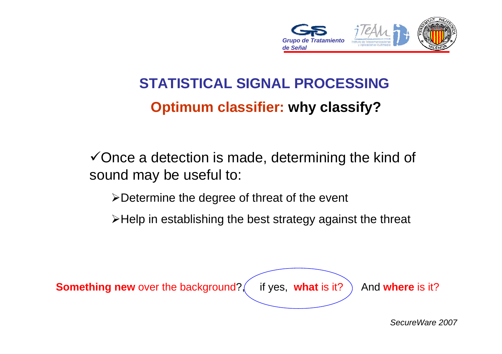

# **STATISTICAL SIGNAL PROCESSING Optimum classifier: why classify?**

 $\checkmark$  Once a detection is made, determining the kind of sound may be useful to:

¾Determine the degree of threat of the event

¾Help in establishing the best strategy against the threat

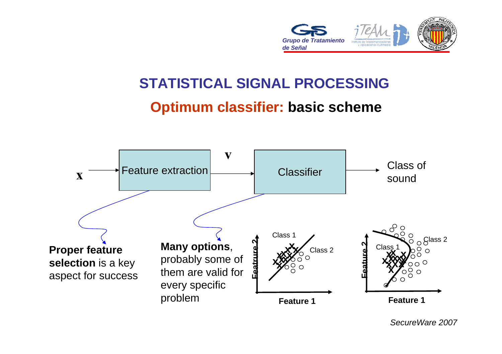

### **STATISTICAL SIGNAL PROCESSING**

#### **Optimum classifier: basic scheme**

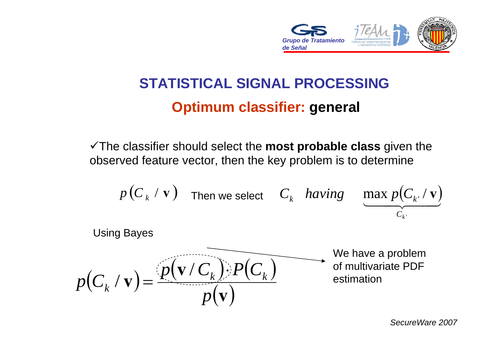

# **STATISTICAL SIGNAL PROCESSINGOptimum classifier: general**

9The classifier should select the **most probable class** given the observed feature vector, then the key problem is to determine

$$
p(C_k / v)
$$
 Then we select  $C_k$  having  $\max_{C_{k'}(v)} C_k$ 

 $p(C_k / \mathbf{v}) = \frac{(p(\mathbf{v}/C_k)) \cdot P(C_k)}{n}$ Using Bayes

We have a problem of multivariate PDF estimation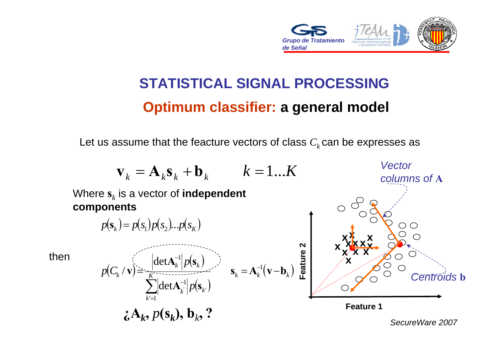

# **STATISTICAL SIGNAL PROCESSINGOptimum classifier: a general model**

Let us assume that the feacture vectors of class  $C_k$  can be expresses as

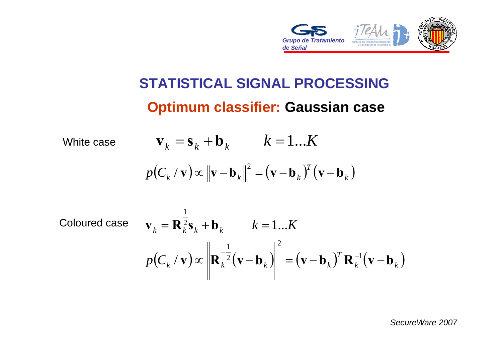

# **STATISTICAL SIGNAL PROCESSING Optimum classifier: Gaussian case**

White case

\n
$$
\mathbf{v}_k = \mathbf{s}_k + \mathbf{b}_k \qquad k = 1...K
$$
\n
$$
p(C_k / \mathbf{v}) \propto \|\mathbf{v} - \mathbf{b}_k\|^2 = (\mathbf{v} - \mathbf{b}_k)^T (\mathbf{v} - \mathbf{b}_k)
$$

Coloured case

\n
$$
\mathbf{v}_{k} = \mathbf{R}_{k}^{\frac{1}{2}} \mathbf{s}_{k} + \mathbf{b}_{k} \qquad k = 1...K
$$
\n
$$
p(C_{k} / \mathbf{v}) \propto \left\| \mathbf{R}_{k}^{-\frac{1}{2}} (\mathbf{v} - \mathbf{b}_{k}) \right\|^{2} = (\mathbf{v} - \mathbf{b}_{k})^{T} \mathbf{R}_{k}^{-1} (\mathbf{v} - \mathbf{b}_{k})
$$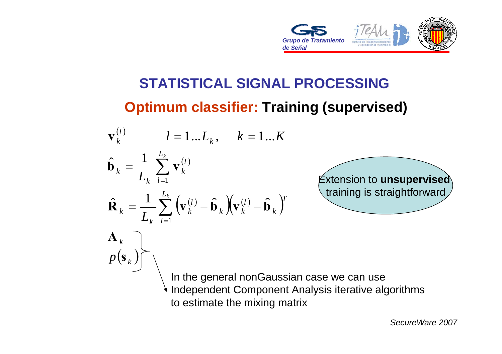

# **STATISTICAL SIGNAL PROCESSINGOptimum classifier: Training (supervised)**

$$
\mathbf{v}_{k}^{(l)} \qquad l = 1...L_{k}, \qquad k = 1...K
$$
\n
$$
\hat{\mathbf{b}}_{k} = \frac{1}{L_{k}} \sum_{l=1}^{L_{k}} \mathbf{v}_{k}^{(l)}
$$
\n
$$
\hat{\mathbf{R}}_{k} = \frac{1}{L_{k}} \sum_{l=1}^{L_{k}} \left( \mathbf{v}_{k}^{(l)} - \hat{\mathbf{b}}_{k} \right) \left( \mathbf{v}_{k}^{(l)} - \hat{\mathbf{b}}_{k} \right)^{T}
$$
\n
$$
\mathbf{A}_{k}
$$
\n
$$
p(\mathbf{s}_{k})
$$
\nIn the general nonGaussian case we can use  
\nIndependent Component Analysis iterative algorithms

to estimate the mixing matrix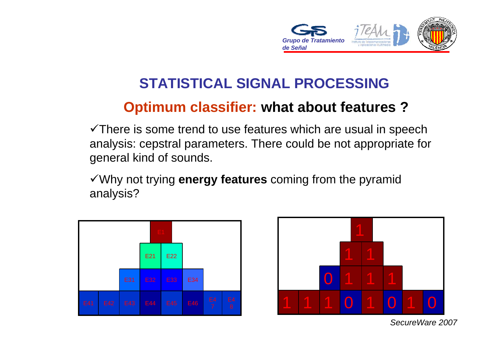

## **STATISTICAL SIGNAL PROCESSING**

### **Optimum classifier: what about features ?**

 $\checkmark$ There is some trend to use features which are usual in speech analysis: cepstral parameters. There could be not appropriate for general kind of sounds.

<sup>9</sup>Why not trying **energy features** coming from the pyramid analysis?



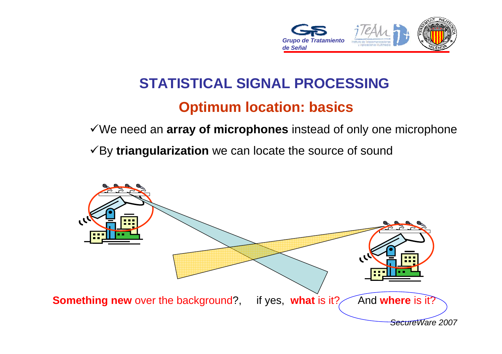

# **STATISTICAL SIGNAL PROCESSING**

#### **Optimum location: basics**

9We need an **array of microphones** instead of only one microphone

<sup>9</sup>By **triangularization** we can locate the source of sound

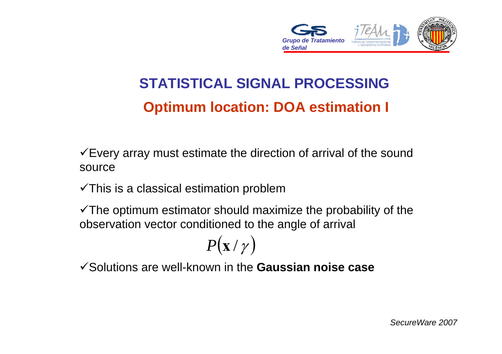

# **STATISTICAL SIGNAL PROCESSINGOptimum location: DOA estimation I**

 $\checkmark$  Every array must estimate the direction of arrival of the sound source

 $\checkmark$ This is a classical estimation problem

 $\checkmark$  The optimum estimator should maximize the probability of the observation vector conditioned to the angle of arrival

$$
P(\mathbf{x}/\gamma)
$$

9Solutions are well-known in the **Gaussian noise case**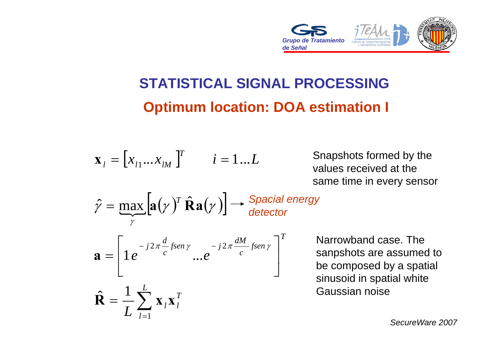

# **STATISTICAL SIGNAL PROCESSINGOptimum location: DOA estimation I**

$$
\mathbf{x}_{i} = [x_{i1}...x_{iM}]^{T} \qquad i = 1...L
$$

Snapshots formed by the values received at the same time in every sensor

$$
\hat{\gamma} = \max_{\gamma} [\mathbf{a}(\gamma)^T \hat{\mathbf{R}} \mathbf{a}(\gamma)] \longrightarrow \text{Special energy}
$$

$$
\mathbf{a} = \left[1 e^{-j2\pi \frac{d}{c} \text{fsen}\,\gamma} \dots e^{-j2\pi \frac{dM}{c} \text{fsen}\,\gamma}\right]
$$

∑

 $\frac{1}{L}\sum_{l=1}^{L} \mathbf{X}_l \mathbf{X}_l^T$ 

*L*

=

 $\sim$  1

=

*l*

 $R = \frac{1}{2}$  **x** x

Narrowband case. The sanpshots are assumed to be composed by a spatial sinusoid in spatial white Gaussian noise